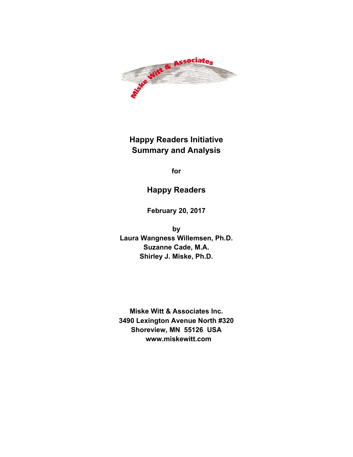

**Happy Readers Initiative Summary and Analysis**

**for**

## **Happy Readers**

**February 20, 2017**

**by Laura Wangness Willemsen, Ph.D. Suzanne Cade, M.A. Shirley J. Miske, Ph.D.** 

**Miske Witt & Associates Inc. 3490 Lexington Avenue North #320 Shoreview, MN 55126 USA www.miskewitt.com**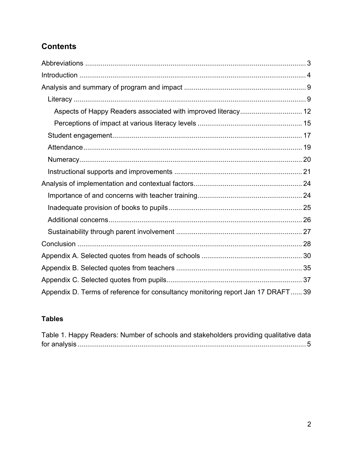## **Contents**

| Appendix D. Terms of reference for consultancy monitoring report Jan 17 DRAFT 39 |  |
|----------------------------------------------------------------------------------|--|

## **Tables**

| Table 1. Happy Readers: Number of schools and stakeholders providing qualitative data |  |
|---------------------------------------------------------------------------------------|--|
|                                                                                       |  |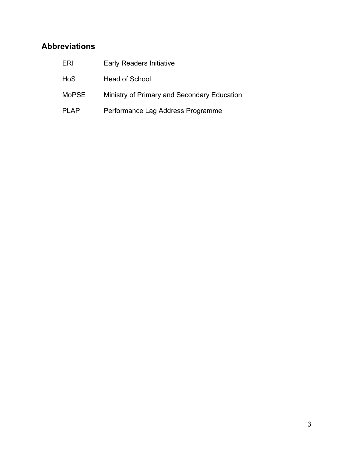## **Abbreviations**

| ERI          | <b>Early Readers Initiative</b>             |
|--------------|---------------------------------------------|
| <b>HoS</b>   | <b>Head of School</b>                       |
| <b>MoPSE</b> | Ministry of Primary and Secondary Education |
| PI AP        | Performance Lag Address Programme           |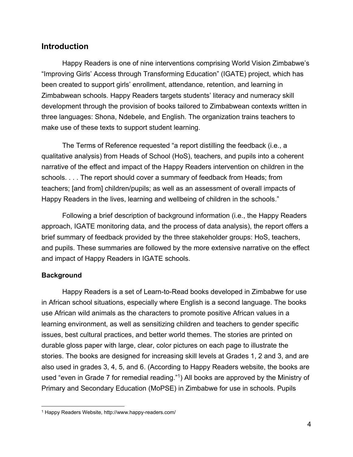## **Introduction**

Happy Readers is one of nine interventions comprising World Vision Zimbabwe's "Improving Girls' Access through Transforming Education" (IGATE) project, which has been created to support girls' enrollment, attendance, retention, and learning in Zimbabwean schools. Happy Readers targets students' literacy and numeracy skill development through the provision of books tailored to Zimbabwean contexts written in three languages: Shona, Ndebele, and English. The organization trains teachers to make use of these texts to support student learning.

The Terms of Reference requested "a report distilling the feedback (i.e., a qualitative analysis) from Heads of School (HoS), teachers, and pupils into a coherent narrative of the effect and impact of the Happy Readers intervention on children in the schools. . . . The report should cover a summary of feedback from Heads; from teachers; [and from] children/pupils; as well as an assessment of overall impacts of Happy Readers in the lives, learning and wellbeing of children in the schools."

Following a brief description of background information (i.e., the Happy Readers approach, IGATE monitoring data, and the process of data analysis), the report offers a brief summary of feedback provided by the three stakeholder groups: HoS, teachers, and pupils. These summaries are followed by the more extensive narrative on the effect and impact of Happy Readers in IGATE schools.

#### **Background**

Happy Readers is a set of Learn-to-Read books developed in Zimbabwe for use in African school situations, especially where English is a second language. The books use African wild animals as the characters to promote positive African values in a learning environment, as well as sensitizing children and teachers to gender specific issues, best cultural practices, and better world themes. The stories are printed on durable gloss paper with large, clear, color pictures on each page to illustrate the stories. The books are designed for increasing skill levels at Grades 1, 2 and 3, and are also used in grades 3, 4, 5, and 6. (According to Happy Readers website, the books are used "even in Grade 7 for remedial reading."1) All books are approved by the Ministry of Primary and Secondary Education (MoPSE) in Zimbabwe for use in schools. Pupils

 $\overline{a}$ 1 Happy Readers Website, http://www.happy-readers.com/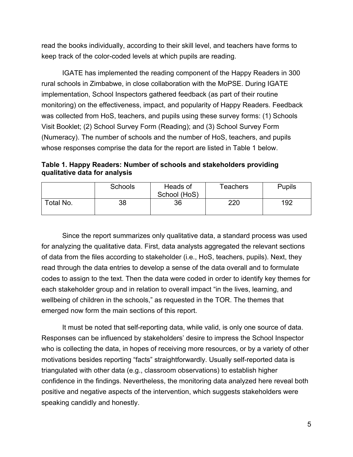read the books individually, according to their skill level, and teachers have forms to keep track of the color-coded levels at which pupils are reading.

IGATE has implemented the reading component of the Happy Readers in 300 rural schools in Zimbabwe, in close collaboration with the MoPSE. During IGATE implementation, School Inspectors gathered feedback (as part of their routine monitoring) on the effectiveness, impact, and popularity of Happy Readers. Feedback was collected from HoS, teachers, and pupils using these survey forms: (1) Schools Visit Booklet; (2) School Survey Form (Reading); and (3) School Survey Form (Numeracy). The number of schools and the number of HoS, teachers, and pupils whose responses comprise the data for the report are listed in Table 1 below.

**Table 1. Happy Readers: Number of schools and stakeholders providing qualitative data for analysis** 

|           | <b>Schools</b> | Heads of<br>School (HoS) | Teachers | <b>Pupils</b> |
|-----------|----------------|--------------------------|----------|---------------|
| Total No. | 38             | 36                       | 220      | 192           |

Since the report summarizes only qualitative data, a standard process was used for analyzing the qualitative data. First, data analysts aggregated the relevant sections of data from the files according to stakeholder (i.e., HoS, teachers, pupils). Next, they read through the data entries to develop a sense of the data overall and to formulate codes to assign to the text. Then the data were coded in order to identify key themes for each stakeholder group and in relation to overall impact "in the lives, learning, and wellbeing of children in the schools," as requested in the TOR. The themes that emerged now form the main sections of this report.

It must be noted that self-reporting data, while valid, is only one source of data. Responses can be influenced by stakeholders' desire to impress the School Inspector who is collecting the data, in hopes of receiving more resources, or by a variety of other motivations besides reporting "facts" straightforwardly. Usually self-reported data is triangulated with other data (e.g., classroom observations) to establish higher confidence in the findings. Nevertheless, the monitoring data analyzed here reveal both positive and negative aspects of the intervention, which suggests stakeholders were speaking candidly and honestly.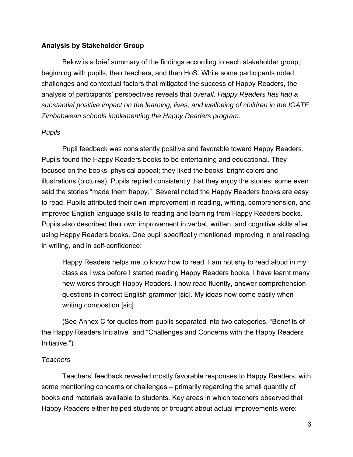#### **Analysis by Stakeholder Group**

Below is a brief summary of the findings according to each stakeholder group, beginning with pupils, their teachers, and then HoS. While some participants noted challenges and contextual factors that mitigated the success of Happy Readers, the analysis of participants' perspectives reveals that *overall, Happy Readers has had a substantial positive impact on the learning, lives, and wellbeing of children in the IGATE Zimbabwean schools implementing the Happy Readers program.*

#### *Pupils*

Pupil feedback was consistently positive and favorable toward Happy Readers. Pupils found the Happy Readers books to be entertaining and educational. They focused on the books' physical appeal; they liked the books' bright colors and illustrations (pictures). Pupils replied consistently that they enjoy the stories; some even said the stories "made them happy." Several noted the Happy Readers books are easy to read. Pupils attributed their own improvement in reading, writing, comprehension, and improved English language skills to reading and learning from Happy Readers books. Pupils also described their own improvement in verbal, written, and cognitive skills after using Happy Readers books. One pupil specifically mentioned improving in oral reading, in writing, and in self-confidence:

Happy Readers helps me to know how to read. I am not shy to read aloud in my class as I was before I started reading Happy Readers books. I have learnt many new words through Happy Readers. I now read fluently, answer comprehension questions in correct English grammer [sic]. My ideas now come easily when writing compostion [sic].

(See Annex C for quotes from pupils separated into two categories, "Benefits of the Happy Readers Initiative" and "Challenges and Concerns with the Happy Readers Initiative.")

#### *Teachers*

Teachers' feedback revealed mostly favorable responses to Happy Readers, with some mentioning concerns or challenges – primarily regarding the small quantity of books and materials available to students. Key areas in which teachers observed that Happy Readers either helped students or brought about actual improvements were: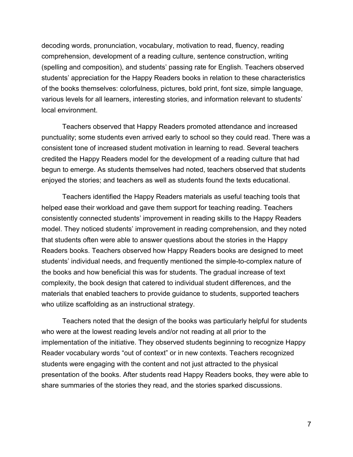decoding words, pronunciation, vocabulary, motivation to read, fluency, reading comprehension, development of a reading culture, sentence construction, writing (spelling and composition), and students' passing rate for English. Teachers observed students' appreciation for the Happy Readers books in relation to these characteristics of the books themselves: colorfulness, pictures, bold print, font size, simple language, various levels for all learners, interesting stories, and information relevant to students' local environment.

Teachers observed that Happy Readers promoted attendance and increased punctuality; some students even arrived early to school so they could read. There was a consistent tone of increased student motivation in learning to read. Several teachers credited the Happy Readers model for the development of a reading culture that had begun to emerge. As students themselves had noted, teachers observed that students enjoyed the stories; and teachers as well as students found the texts educational.

Teachers identified the Happy Readers materials as useful teaching tools that helped ease their workload and gave them support for teaching reading. Teachers consistently connected students' improvement in reading skills to the Happy Readers model. They noticed students' improvement in reading comprehension, and they noted that students often were able to answer questions about the stories in the Happy Readers books. Teachers observed how Happy Readers books are designed to meet students' individual needs, and frequently mentioned the simple-to-complex nature of the books and how beneficial this was for students. The gradual increase of text complexity, the book design that catered to individual student differences, and the materials that enabled teachers to provide guidance to students, supported teachers who utilize scaffolding as an instructional strategy.

Teachers noted that the design of the books was particularly helpful for students who were at the lowest reading levels and/or not reading at all prior to the implementation of the initiative. They observed students beginning to recognize Happy Reader vocabulary words "out of context" or in new contexts. Teachers recognized students were engaging with the content and not just attracted to the physical presentation of the books. After students read Happy Readers books, they were able to share summaries of the stories they read, and the stories sparked discussions.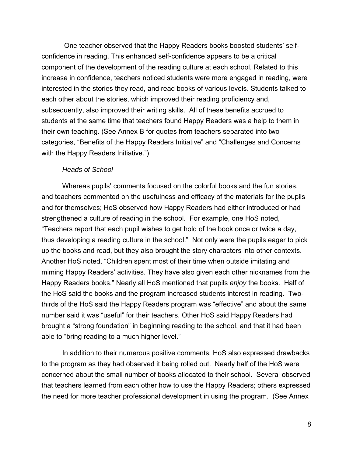One teacher observed that the Happy Readers books boosted students' selfconfidence in reading. This enhanced self-confidence appears to be a critical component of the development of the reading culture at each school. Related to this increase in confidence, teachers noticed students were more engaged in reading, were interested in the stories they read, and read books of various levels. Students talked to each other about the stories, which improved their reading proficiency and, subsequently, also improved their writing skills. All of these benefits accrued to students at the same time that teachers found Happy Readers was a help to them in their own teaching. (See Annex B for quotes from teachers separated into two categories, "Benefits of the Happy Readers Initiative" and "Challenges and Concerns with the Happy Readers Initiative.")

#### *Heads of School*

Whereas pupils' comments focused on the colorful books and the fun stories, and teachers commented on the usefulness and efficacy of the materials for the pupils and for themselves; HoS observed how Happy Readers had either introduced or had strengthened a culture of reading in the school. For example, one HoS noted, "Teachers report that each pupil wishes to get hold of the book once or twice a day, thus developing a reading culture in the school." Not only were the pupils eager to pick up the books and read, but they also brought the story characters into other contexts. Another HoS noted, "Children spent most of their time when outside imitating and miming Happy Readers' activities. They have also given each other nicknames from the Happy Readers books." Nearly all HoS mentioned that pupils *enjoy* the books. Half of the HoS said the books and the program increased students interest in reading. Twothirds of the HoS said the Happy Readers program was "effective" and about the same number said it was "useful" for their teachers. Other HoS said Happy Readers had brought a "strong foundation" in beginning reading to the school, and that it had been able to "bring reading to a much higher level."

In addition to their numerous positive comments, HoS also expressed drawbacks to the program as they had observed it being rolled out. Nearly half of the HoS were concerned about the small number of books allocated to their school. Several observed that teachers learned from each other how to use the Happy Readers; others expressed the need for more teacher professional development in using the program. (See Annex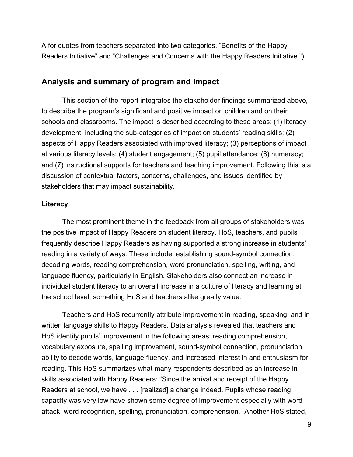A for quotes from teachers separated into two categories, "Benefits of the Happy Readers Initiative" and "Challenges and Concerns with the Happy Readers Initiative.")

## **Analysis and summary of program and impact**

This section of the report integrates the stakeholder findings summarized above, to describe the program's significant and positive impact on children and on their schools and classrooms. The impact is described according to these areas: (1) literacy development, including the sub-categories of impact on students' reading skills; (2) aspects of Happy Readers associated with improved literacy; (3) perceptions of impact at various literacy levels; (4) student engagement; (5) pupil attendance; (6) numeracy; and (7) instructional supports for teachers and teaching improvement. Following this is a discussion of contextual factors, concerns, challenges, and issues identified by stakeholders that may impact sustainability.

#### **Literacy**

The most prominent theme in the feedback from all groups of stakeholders was the positive impact of Happy Readers on student literacy. HoS, teachers, and pupils frequently describe Happy Readers as having supported a strong increase in students' reading in a variety of ways. These include: establishing sound-symbol connection, decoding words, reading comprehension, word pronunciation, spelling, writing, and language fluency, particularly in English. Stakeholders also connect an increase in individual student literacy to an overall increase in a culture of literacy and learning at the school level, something HoS and teachers alike greatly value.

Teachers and HoS recurrently attribute improvement in reading, speaking, and in written language skills to Happy Readers. Data analysis revealed that teachers and HoS identify pupils' improvement in the following areas: reading comprehension, vocabulary exposure, spelling improvement, sound-symbol connection, pronunciation, ability to decode words, language fluency, and increased interest in and enthusiasm for reading. This HoS summarizes what many respondents described as an increase in skills associated with Happy Readers: "Since the arrival and receipt of the Happy Readers at school, we have . . . [realized] a change indeed. Pupils whose reading capacity was very low have shown some degree of improvement especially with word attack, word recognition, spelling, pronunciation, comprehension." Another HoS stated,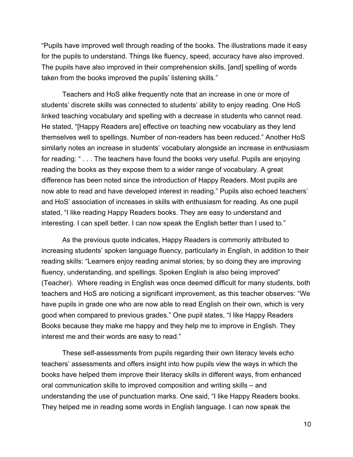"Pupils have improved well through reading of the books. The illustrations made it easy for the pupils to understand. Things like fluency, speed, accuracy have also improved. The pupils have also improved in their comprehension skills, [and] spelling of words taken from the books improved the pupils' listening skills."

Teachers and HoS alike frequently note that an increase in one or more of students' discrete skills was connected to students' ability to enjoy reading. One HoS linked teaching vocabulary and spelling with a decrease in students who cannot read. He stated, "[Happy Readers are] effective on teaching new vocabulary as they lend themselves well to spellings. Number of non-readers has been reduced." Another HoS similarly notes an increase in students' vocabulary alongside an increase in enthusiasm for reading: " . . . The teachers have found the books very useful. Pupils are enjoying reading the books as they expose them to a wider range of vocabulary. A great difference has been noted since the introduction of Happy Readers. Most pupils are now able to read and have developed interest in reading." Pupils also echoed teachers' and HoS' association of increases in skills with enthusiasm for reading. As one pupil stated, "I like reading Happy Readers books. They are easy to understand and interesting. I can spell better. I can now speak the English better than I used to."

As the previous quote indicates, Happy Readers is commonly attributed to increasing students' spoken language fluency, particularly in English, in addition to their reading skills: "Learners enjoy reading animal stories; by so doing they are improving fluency, understanding, and spellings. Spoken English is also being improved" (Teacher). Where reading in English was once deemed difficult for many students, both teachers and HoS are noticing a significant improvement, as this teacher observes: "We have pupils in grade one who are now able to read English on their own, which is very good when compared to previous grades." One pupil states, "I like Happy Readers Books because they make me happy and they help me to improve in English. They interest me and their words are easy to read."

These self-assessments from pupils regarding their own literacy levels echo teachers' assessments and offers insight into how pupils view the ways in which the books have helped them improve their literacy skills in different ways, from enhanced oral communication skills to improved composition and writing skills – and understanding the use of punctuation marks. One said, "I like Happy Readers books. They helped me in reading some words in English language. I can now speak the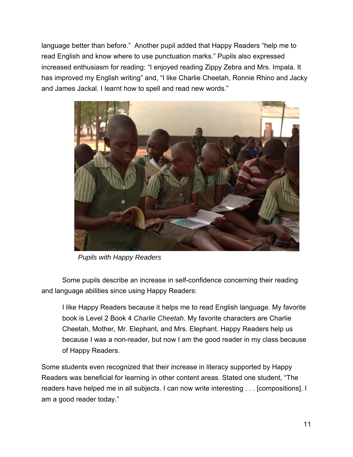language better than before." Another pupil added that Happy Readers "help me to read English and know where to use punctuation marks." Pupils also expressed increased enthusiasm for reading: "I enjoyed reading Zippy Zebra and Mrs. Impala. It has improved my English writing" and, "I like Charlie Cheetah, Ronnie Rhino and Jacky and James Jackal. I learnt how to spell and read new words."



*Pupils with Happy Readers* 

Some pupils describe an increase in self-confidence concerning their reading and language abilities since using Happy Readers:

I like Happy Readers because it helps me to read English language. My favorite book is Level 2 Book 4 *Charlie Cheetah*. My favorite characters are Charlie Cheetah, Mother, Mr. Elephant, and Mrs. Elephant. Happy Readers help us because I was a non-reader, but now I am the good reader in my class because of Happy Readers.

Some students even recognized that their increase in literacy supported by Happy Readers was beneficial for learning in other content areas. Stated one student, "The readers have helped me in all subjects. I can now write interesting . . . [compositions]. I am a good reader today."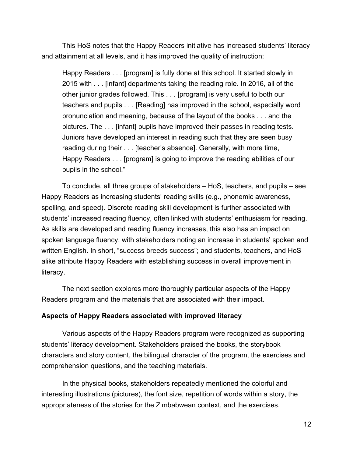This HoS notes that the Happy Readers initiative has increased students' literacy and attainment at all levels, and it has improved the quality of instruction:

Happy Readers . . . [program] is fully done at this school. It started slowly in 2015 with . . . [infant] departments taking the reading role. In 2016, all of the other junior grades followed. This . . . [program] is very useful to both our teachers and pupils . . . [Reading] has improved in the school, especially word pronunciation and meaning, because of the layout of the books . . . and the pictures. The . . . [infant] pupils have improved their passes in reading tests. Juniors have developed an interest in reading such that they are seen busy reading during their . . . [teacher's absence]. Generally, with more time, Happy Readers . . . [program] is going to improve the reading abilities of our pupils in the school."

To conclude, all three groups of stakeholders – HoS, teachers, and pupils – see Happy Readers as increasing students' reading skills (e.g., phonemic awareness, spelling, and speed). Discrete reading skill development is further associated with students' increased reading fluency, often linked with students' enthusiasm for reading. As skills are developed and reading fluency increases, this also has an impact on spoken language fluency, with stakeholders noting an increase in students' spoken and written English. In short, "success breeds success"; and students, teachers, and HoS alike attribute Happy Readers with establishing success in overall improvement in literacy.

The next section explores more thoroughly particular aspects of the Happy Readers program and the materials that are associated with their impact.

#### **Aspects of Happy Readers associated with improved literacy**

Various aspects of the Happy Readers program were recognized as supporting students' literacy development. Stakeholders praised the books, the storybook characters and story content, the bilingual character of the program, the exercises and comprehension questions, and the teaching materials.

In the physical books, stakeholders repeatedly mentioned the colorful and interesting illustrations (pictures), the font size, repetition of words within a story, the appropriateness of the stories for the Zimbabwean context, and the exercises.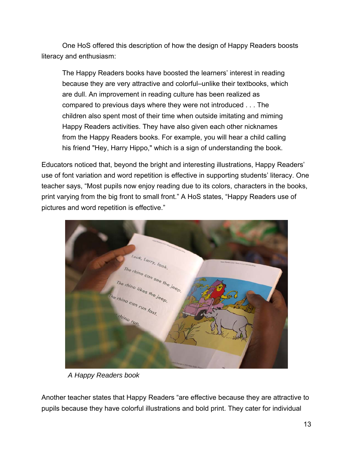One HoS offered this description of how the design of Happy Readers boosts literacy and enthusiasm:

The Happy Readers books have boosted the learners' interest in reading because they are very attractive and colorful–unlike their textbooks, which are dull. An improvement in reading culture has been realized as compared to previous days where they were not introduced . . . The children also spent most of their time when outside imitating and miming Happy Readers activities. They have also given each other nicknames from the Happy Readers books. For example, you will hear a child calling his friend "Hey, Harry Hippo," which is a sign of understanding the book.

Educators noticed that, beyond the bright and interesting illustrations, Happy Readers' use of font variation and word repetition is effective in supporting students' literacy. One teacher says, "Most pupils now enjoy reading due to its colors, characters in the books, print varying from the big front to small front." A HoS states, "Happy Readers use of pictures and word repetition is effective."



*A Happy Readers book* 

Another teacher states that Happy Readers "are effective because they are attractive to pupils because they have colorful illustrations and bold print. They cater for individual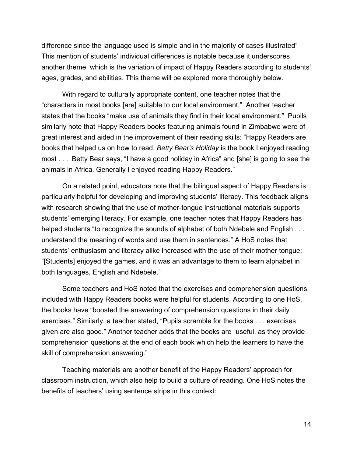difference since the language used is simple and in the majority of cases illustrated" This mention of students' individual differences is notable because it underscores another theme, which is the variation of impact of Happy Readers according to students' ages, grades, and abilities. This theme will be explored more thoroughly below.

With regard to culturally appropriate content, one teacher notes that the "characters in most books [are] suitable to our local environment." Another teacher states that the books "make use of animals they find in their local environment." Pupils similarly note that Happy Readers books featuring animals found in Zimbabwe were of great interest and aided in the improvement of their reading skills: "Happy Readers are books that helped us on how to read. *Betty Bear's Holiday* is the book I enjoyed reading most . . . Betty Bear says, "I have a good holiday in Africa" and [she] is going to see the animals in Africa. Generally I enjoyed reading Happy Readers."

On a related point, educators note that the bilingual aspect of Happy Readers is particularly helpful for developing and improving students' literacy. This feedback aligns with research showing that the use of mother-tongue instructional materials supports students' emerging literacy. For example, one teacher notes that Happy Readers has helped students "to recognize the sounds of alphabet of both Ndebele and English . . . understand the meaning of words and use them in sentences." A HoS notes that students' enthusiasm and literacy alike increased with the use of their mother tongue: "[Students] enjoyed the games, and it was an advantage to them to learn alphabet in both languages, English and Ndebele."

Some teachers and HoS noted that the exercises and comprehension questions included with Happy Readers books were helpful for students. According to one HoS, the books have "boosted the answering of comprehension questions in their daily exercises." Similarly, a teacher stated, "Pupils scramble for the books . . . exercises given are also good." Another teacher adds that the books are "useful, as they provide comprehension questions at the end of each book which help the learners to have the skill of comprehension answering."

Teaching materials are another benefit of the Happy Readers' approach for classroom instruction, which also help to build a culture of reading. One HoS notes the benefits of teachers' using sentence strips in this context: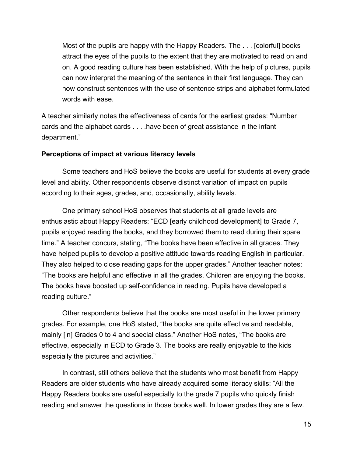Most of the pupils are happy with the Happy Readers. The . . . [colorful] books attract the eyes of the pupils to the extent that they are motivated to read on and on. A good reading culture has been established. With the help of pictures, pupils can now interpret the meaning of the sentence in their first language. They can now construct sentences with the use of sentence strips and alphabet formulated words with ease.

A teacher similarly notes the effectiveness of cards for the earliest grades: "Number cards and the alphabet cards . . . .have been of great assistance in the infant department."

#### **Perceptions of impact at various literacy levels**

Some teachers and HoS believe the books are useful for students at every grade level and ability. Other respondents observe distinct variation of impact on pupils according to their ages, grades, and, occasionally, ability levels.

One primary school HoS observes that students at all grade levels are enthusiastic about Happy Readers: "ECD [early childhood development] to Grade 7, pupils enjoyed reading the books, and they borrowed them to read during their spare time." A teacher concurs, stating, "The books have been effective in all grades. They have helped pupils to develop a positive attitude towards reading English in particular. They also helped to close reading gaps for the upper grades." Another teacher notes: "The books are helpful and effective in all the grades. Children are enjoying the books. The books have boosted up self-confidence in reading. Pupils have developed a reading culture."

Other respondents believe that the books are most useful in the lower primary grades. For example, one HoS stated, "the books are quite effective and readable, mainly [in] Grades 0 to 4 and special class." Another HoS notes, "The books are effective, especially in ECD to Grade 3. The books are really enjoyable to the kids especially the pictures and activities."

In contrast, still others believe that the students who most benefit from Happy Readers are older students who have already acquired some literacy skills: "All the Happy Readers books are useful especially to the grade 7 pupils who quickly finish reading and answer the questions in those books well. In lower grades they are a few.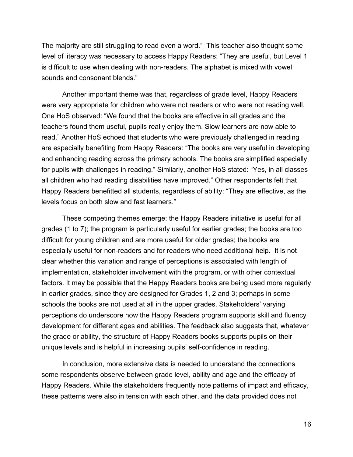The majority are still struggling to read even a word." This teacher also thought some level of literacy was necessary to access Happy Readers: "They are useful, but Level 1 is difficult to use when dealing with non-readers. The alphabet is mixed with vowel sounds and consonant blends."

Another important theme was that, regardless of grade level, Happy Readers were very appropriate for children who were not readers or who were not reading well. One HoS observed: "We found that the books are effective in all grades and the teachers found them useful, pupils really enjoy them. Slow learners are now able to read." Another HoS echoed that students who were previously challenged in reading are especially benefiting from Happy Readers: "The books are very useful in developing and enhancing reading across the primary schools. The books are simplified especially for pupils with challenges in reading." Similarly, another HoS stated: "Yes, in all classes all children who had reading disabilities have improved." Other respondents felt that Happy Readers benefitted all students, regardless of ability: "They are effective, as the levels focus on both slow and fast learners."

These competing themes emerge: the Happy Readers initiative is useful for all grades (1 to 7); the program is particularly useful for earlier grades; the books are too difficult for young children and are more useful for older grades; the books are especially useful for non-readers and for readers who need additional help. It is not clear whether this variation and range of perceptions is associated with length of implementation, stakeholder involvement with the program, or with other contextual factors. It may be possible that the Happy Readers books are being used more regularly in earlier grades, since they are designed for Grades 1, 2 and 3; perhaps in some schools the books are not used at all in the upper grades. Stakeholders' varying perceptions do underscore how the Happy Readers program supports skill and fluency development for different ages and abilities. The feedback also suggests that, whatever the grade or ability, the structure of Happy Readers books supports pupils on their unique levels and is helpful in increasing pupils' self-confidence in reading.

In conclusion, more extensive data is needed to understand the connections some respondents observe between grade level, ability and age and the efficacy of Happy Readers. While the stakeholders frequently note patterns of impact and efficacy, these patterns were also in tension with each other, and the data provided does not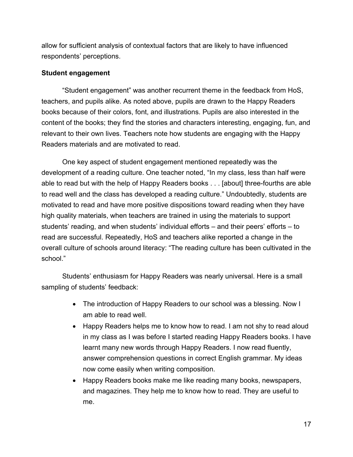allow for sufficient analysis of contextual factors that are likely to have influenced respondents' perceptions.

#### **Student engagement**

"Student engagement" was another recurrent theme in the feedback from HoS, teachers, and pupils alike. As noted above, pupils are drawn to the Happy Readers books because of their colors, font, and illustrations. Pupils are also interested in the content of the books; they find the stories and characters interesting, engaging, fun, and relevant to their own lives. Teachers note how students are engaging with the Happy Readers materials and are motivated to read.

One key aspect of student engagement mentioned repeatedly was the development of a reading culture. One teacher noted, "In my class, less than half were able to read but with the help of Happy Readers books . . . [about] three-fourths are able to read well and the class has developed a reading culture." Undoubtedly, students are motivated to read and have more positive dispositions toward reading when they have high quality materials, when teachers are trained in using the materials to support students' reading, and when students' individual efforts – and their peers' efforts – to read are successful. Repeatedly, HoS and teachers alike reported a change in the overall culture of schools around literacy: "The reading culture has been cultivated in the school."

Students' enthusiasm for Happy Readers was nearly universal. Here is a small sampling of students' feedback:

- The introduction of Happy Readers to our school was a blessing. Now I am able to read well.
- Happy Readers helps me to know how to read. I am not shy to read aloud in my class as I was before I started reading Happy Readers books. I have learnt many new words through Happy Readers. I now read fluently, answer comprehension questions in correct English grammar. My ideas now come easily when writing composition.
- Happy Readers books make me like reading many books, newspapers, and magazines. They help me to know how to read. They are useful to me.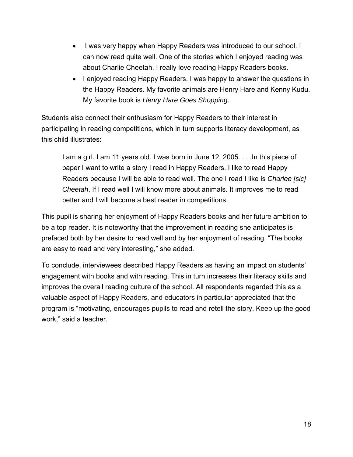- I was very happy when Happy Readers was introduced to our school. I can now read quite well. One of the stories which I enjoyed reading was about Charlie Cheetah. I really love reading Happy Readers books.
- I enjoyed reading Happy Readers. I was happy to answer the questions in the Happy Readers. My favorite animals are Henry Hare and Kenny Kudu. My favorite book is *Henry Hare Goes Shopping*.

Students also connect their enthusiasm for Happy Readers to their interest in participating in reading competitions, which in turn supports literacy development, as this child illustrates:

I am a girl. I am 11 years old. I was born in June 12, 2005. . . .In this piece of paper I want to write a story I read in Happy Readers. I like to read Happy Readers because I will be able to read well. The one I read I like is *Charlee [sic] Cheetah*. If I read well I will know more about animals. It improves me to read better and I will become a best reader in competitions.

This pupil is sharing her enjoyment of Happy Readers books and her future ambition to be a top reader. It is noteworthy that the improvement in reading she anticipates is prefaced both by her desire to read well and by her enjoyment of reading. "The books are easy to read and very interesting," she added.

To conclude, interviewees described Happy Readers as having an impact on students' engagement with books and with reading. This in turn increases their literacy skills and improves the overall reading culture of the school. All respondents regarded this as a valuable aspect of Happy Readers, and educators in particular appreciated that the program is "motivating, encourages pupils to read and retell the story. Keep up the good work," said a teacher.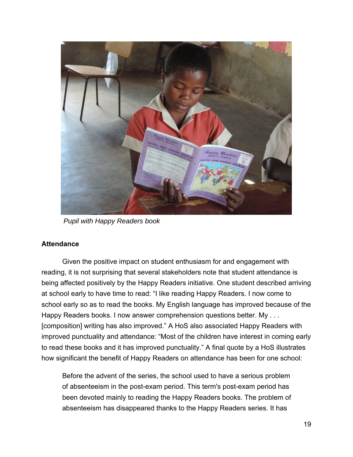

*Pupil with Happy Readers book* 

#### **Attendance**

Given the positive impact on student enthusiasm for and engagement with reading, it is not surprising that several stakeholders note that student attendance is being affected positively by the Happy Readers initiative. One student described arriving at school early to have time to read: "I like reading Happy Readers. I now come to school early so as to read the books. My English language has improved because of the Happy Readers books. I now answer comprehension questions better. My . . . [composition] writing has also improved." A HoS also associated Happy Readers with improved punctuality and attendance: "Most of the children have interest in coming early to read these books and it has improved punctuality." A final quote by a HoS illustrates how significant the benefit of Happy Readers on attendance has been for one school:

Before the advent of the series, the school used to have a serious problem of absenteeism in the post-exam period. This term's post-exam period has been devoted mainly to reading the Happy Readers books. The problem of absenteeism has disappeared thanks to the Happy Readers series. It has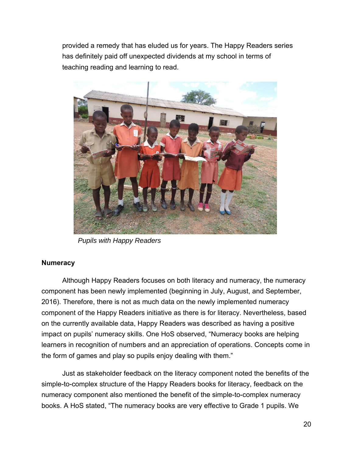provided a remedy that has eluded us for years. The Happy Readers series has definitely paid off unexpected dividends at my school in terms of teaching reading and learning to read.



*Pupils with Happy Readers* 

### **Numeracy**

Although Happy Readers focuses on both literacy and numeracy, the numeracy component has been newly implemented (beginning in July, August, and September, 2016). Therefore, there is not as much data on the newly implemented numeracy component of the Happy Readers initiative as there is for literacy. Nevertheless, based on the currently available data, Happy Readers was described as having a positive impact on pupils' numeracy skills. One HoS observed, "Numeracy books are helping learners in recognition of numbers and an appreciation of operations. Concepts come in the form of games and play so pupils enjoy dealing with them."

Just as stakeholder feedback on the literacy component noted the benefits of the simple-to-complex structure of the Happy Readers books for literacy, feedback on the numeracy component also mentioned the benefit of the simple-to-complex numeracy books. A HoS stated, "The numeracy books are very effective to Grade 1 pupils. We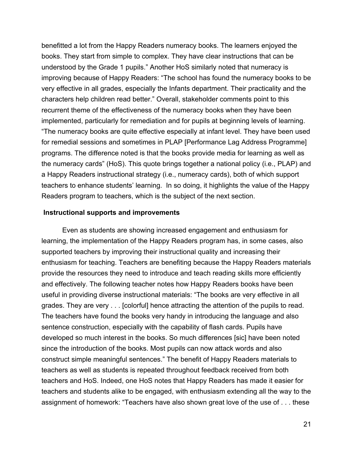benefitted a lot from the Happy Readers numeracy books. The learners enjoyed the books. They start from simple to complex. They have clear instructions that can be understood by the Grade 1 pupils." Another HoS similarly noted that numeracy is improving because of Happy Readers: "The school has found the numeracy books to be very effective in all grades, especially the Infants department. Their practicality and the characters help children read better." Overall, stakeholder comments point to this recurrent theme of the effectiveness of the numeracy books when they have been implemented, particularly for remediation and for pupils at beginning levels of learning. "The numeracy books are quite effective especially at infant level. They have been used for remedial sessions and sometimes in PLAP [Performance Lag Address Programme] programs. The difference noted is that the books provide media for learning as well as the numeracy cards" (HoS). This quote brings together a national policy (i.e., PLAP) and a Happy Readers instructional strategy (i.e., numeracy cards), both of which support teachers to enhance students' learning. In so doing, it highlights the value of the Happy Readers program to teachers, which is the subject of the next section.

#### **Instructional supports and improvements**

Even as students are showing increased engagement and enthusiasm for learning, the implementation of the Happy Readers program has, in some cases, also supported teachers by improving their instructional quality and increasing their enthusiasm for teaching. Teachers are benefiting because the Happy Readers materials provide the resources they need to introduce and teach reading skills more efficiently and effectively. The following teacher notes how Happy Readers books have been useful in providing diverse instructional materials: "The books are very effective in all grades. They are very . . . [colorful] hence attracting the attention of the pupils to read. The teachers have found the books very handy in introducing the language and also sentence construction, especially with the capability of flash cards. Pupils have developed so much interest in the books. So much differences [sic] have been noted since the introduction of the books. Most pupils can now attack words and also construct simple meaningful sentences." The benefit of Happy Readers materials to teachers as well as students is repeated throughout feedback received from both teachers and HoS. Indeed, one HoS notes that Happy Readers has made it easier for teachers and students alike to be engaged, with enthusiasm extending all the way to the assignment of homework: "Teachers have also shown great love of the use of . . . these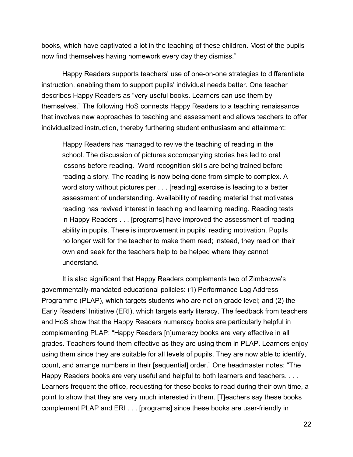books, which have captivated a lot in the teaching of these children. Most of the pupils now find themselves having homework every day they dismiss."

Happy Readers supports teachers' use of one-on-one strategies to differentiate instruction, enabling them to support pupils' individual needs better. One teacher describes Happy Readers as "very useful books. Learners can use them by themselves." The following HoS connects Happy Readers to a teaching renaissance that involves new approaches to teaching and assessment and allows teachers to offer individualized instruction, thereby furthering student enthusiasm and attainment:

Happy Readers has managed to revive the teaching of reading in the school. The discussion of pictures accompanying stories has led to oral lessons before reading. Word recognition skills are being trained before reading a story. The reading is now being done from simple to complex. A word story without pictures per . . . [reading] exercise is leading to a better assessment of understanding. Availability of reading material that motivates reading has revived interest in teaching and learning reading. Reading tests in Happy Readers . . . [programs] have improved the assessment of reading ability in pupils. There is improvement in pupils' reading motivation. Pupils no longer wait for the teacher to make them read; instead, they read on their own and seek for the teachers help to be helped where they cannot understand.

It is also significant that Happy Readers complements two of Zimbabwe's governmentally-mandated educational policies: (1) Performance Lag Address Programme (PLAP), which targets students who are not on grade level; and (2) the Early Readers' Initiative (ERI), which targets early literacy. The feedback from teachers and HoS show that the Happy Readers numeracy books are particularly helpful in complementing PLAP: "Happy Readers [n]umeracy books are very effective in all grades. Teachers found them effective as they are using them in PLAP. Learners enjoy using them since they are suitable for all levels of pupils. They are now able to identify, count, and arrange numbers in their [sequential] order." One headmaster notes: "The Happy Readers books are very useful and helpful to both learners and teachers. . . . Learners frequent the office, requesting for these books to read during their own time, a point to show that they are very much interested in them. [T]eachers say these books complement PLAP and ERI . . . [programs] since these books are user-friendly in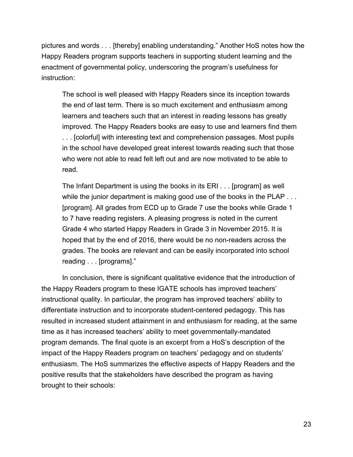pictures and words . . . [thereby] enabling understanding." Another HoS notes how the Happy Readers program supports teachers in supporting student learning and the enactment of governmental policy, underscoring the program's usefulness for instruction:

The school is well pleased with Happy Readers since its inception towards the end of last term. There is so much excitement and enthusiasm among learners and teachers such that an interest in reading lessons has greatly improved. The Happy Readers books are easy to use and learners find them . . . [colorful] with interesting text and comprehension passages. Most pupils in the school have developed great interest towards reading such that those who were not able to read felt left out and are now motivated to be able to read.

The Infant Department is using the books in its ERI . . . [program] as well while the junior department is making good use of the books in the PLAP . . . [program]. All grades from ECD up to Grade 7 use the books while Grade 1 to 7 have reading registers. A pleasing progress is noted in the current Grade 4 who started Happy Readers in Grade 3 in November 2015. It is hoped that by the end of 2016, there would be no non-readers across the grades. The books are relevant and can be easily incorporated into school reading . . . [programs]."

 In conclusion, there is significant qualitative evidence that the introduction of the Happy Readers program to these IGATE schools has improved teachers' instructional quality. In particular, the program has improved teachers' ability to differentiate instruction and to incorporate student-centered pedagogy. This has resulted in increased student attainment in and enthusiasm for reading, at the same time as it has increased teachers' ability to meet governmentally-mandated program demands. The final quote is an excerpt from a HoS's description of the impact of the Happy Readers program on teachers' pedagogy and on students' enthusiasm. The HoS summarizes the effective aspects of Happy Readers and the positive results that the stakeholders have described the program as having brought to their schools: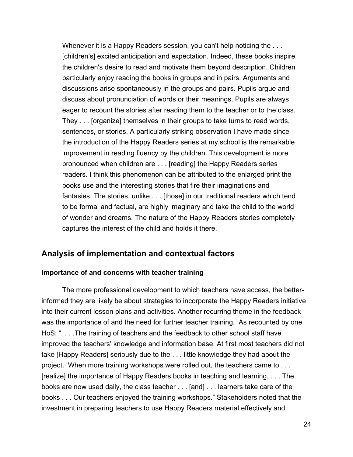Whenever it is a Happy Readers session, you can't help noticing the ... [children's] excited anticipation and expectation. Indeed, these books inspire the children's desire to read and motivate them beyond description. Children particularly enjoy reading the books in groups and in pairs. Arguments and discussions arise spontaneously in the groups and pairs. Pupils argue and discuss about pronunciation of words or their meanings. Pupils are always eager to recount the stories after reading them to the teacher or to the class. They . . . [organize] themselves in their groups to take turns to read words, sentences, or stories. A particularly striking observation I have made since the introduction of the Happy Readers series at my school is the remarkable improvement in reading fluency by the children. This development is more pronounced when children are . . . [reading] the Happy Readers series readers. I think this phenomenon can be attributed to the enlarged print the books use and the interesting stories that fire their imaginations and fantasies. The stories, unlike . . . [those] in our traditional readers which tend to be formal and factual, are highly imaginary and take the child to the world of wonder and dreams. The nature of the Happy Readers stories completely captures the interest of the child and holds it there.

## **Analysis of implementation and contextual factors**

#### **Importance of and concerns with teacher training**

The more professional development to which teachers have access, the betterinformed they are likely be about strategies to incorporate the Happy Readers initiative into their current lesson plans and activities. Another recurring theme in the feedback was the importance of and the need for further teacher training. As recounted by one HoS: ". . . .The training of teachers and the feedback to other school staff have improved the teachers' knowledge and information base. At first most teachers did not take [Happy Readers] seriously due to the . . . little knowledge they had about the project. When more training workshops were rolled out, the teachers came to . . . [realize] the importance of Happy Readers books in teaching and learning. . . . The books are now used daily, the class teacher . . . [and] . . . learners take care of the books . . . Our teachers enjoyed the training workshops." Stakeholders noted that the investment in preparing teachers to use Happy Readers material effectively and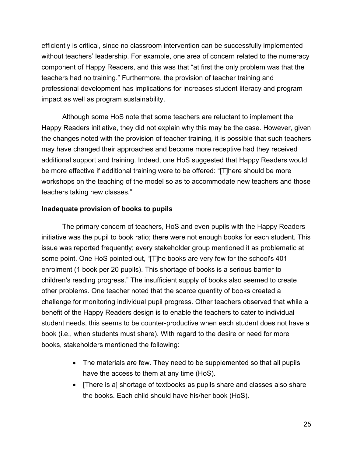efficiently is critical, since no classroom intervention can be successfully implemented without teachers' leadership. For example, one area of concern related to the numeracy component of Happy Readers, and this was that "at first the only problem was that the teachers had no training." Furthermore, the provision of teacher training and professional development has implications for increases student literacy and program impact as well as program sustainability.

 Although some HoS note that some teachers are reluctant to implement the Happy Readers initiative, they did not explain why this may be the case. However, given the changes noted with the provision of teacher training, it is possible that such teachers may have changed their approaches and become more receptive had they received additional support and training. Indeed, one HoS suggested that Happy Readers would be more effective if additional training were to be offered: "[T]here should be more workshops on the teaching of the model so as to accommodate new teachers and those teachers taking new classes."

### **Inadequate provision of books to pupils**

 The primary concern of teachers, HoS and even pupils with the Happy Readers initiative was the pupil to book ratio; there were not enough books for each student. This issue was reported frequently; every stakeholder group mentioned it as problematic at some point. One HoS pointed out, "[T]he books are very few for the school's 401 enrolment (1 book per 20 pupils). This shortage of books is a serious barrier to children's reading progress." The insufficient supply of books also seemed to create other problems. One teacher noted that the scarce quantity of books created a challenge for monitoring individual pupil progress. Other teachers observed that while a benefit of the Happy Readers design is to enable the teachers to cater to individual student needs, this seems to be counter-productive when each student does not have a book (i.e., when students must share). With regard to the desire or need for more books, stakeholders mentioned the following:

- The materials are few. They need to be supplemented so that all pupils have the access to them at any time (HoS).
- [There is a] shortage of textbooks as pupils share and classes also share the books. Each child should have his/her book (HoS).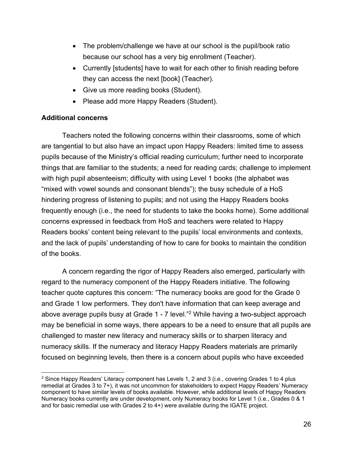- The problem/challenge we have at our school is the pupil/book ratio because our school has a very big enrollment (Teacher).
- Currently [students] have to wait for each other to finish reading before they can access the next [book] (Teacher).
- Give us more reading books (Student).
- Please add more Happy Readers (Student).

## **Additional concerns**

Teachers noted the following concerns within their classrooms, some of which are tangential to but also have an impact upon Happy Readers: limited time to assess pupils because of the Ministry's official reading curriculum; further need to incorporate things that are familiar to the students; a need for reading cards; challenge to implement with high pupil absenteeism; difficulty with using Level 1 books (the alphabet was "mixed with vowel sounds and consonant blends"); the busy schedule of a HoS hindering progress of listening to pupils; and not using the Happy Readers books frequently enough (i.e., the need for students to take the books home). Some additional concerns expressed in feedback from HoS and teachers were related to Happy Readers books' content being relevant to the pupils' local environments and contexts, and the lack of pupils' understanding of how to care for books to maintain the condition of the books.

A concern regarding the rigor of Happy Readers also emerged, particularly with regard to the numeracy component of the Happy Readers initiative. The following teacher quote captures this concern: "The numeracy books are good for the Grade 0 and Grade 1 low performers. They don't have information that can keep average and above average pupils busy at Grade 1 - 7 level."2 While having a two-subject approach may be beneficial in some ways, there appears to be a need to ensure that all pupils are challenged to master new literacy and numeracy skills or to sharpen literacy and numeracy skills. If the numeracy and literacy Happy Readers materials are primarily focused on beginning levels, then there is a concern about pupils who have exceeded

 $\overline{a}$  $2$  Since Happy Readers' Literacy component has Levels 1, 2 and 3 (i.e., covering Grades 1 to 4 plus remedial at Grades 3 to 7+), it was not uncommon for stakeholders to expect Happy Readers' Numeracy component to have similar levels of books available. However, while additional levels of Happy Readers Numeracy books currently are under development, only Numeracy books for Level 1 (i.e., Grades 0 & 1 and for basic remedial use with Grades 2 to 4+) were available during the IGATE project.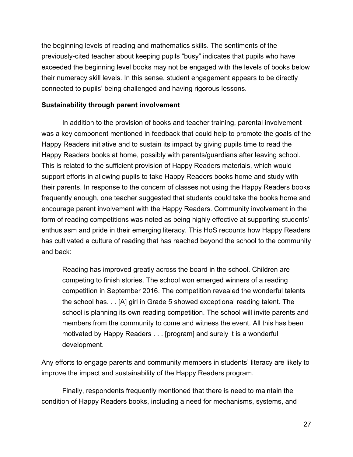the beginning levels of reading and mathematics skills. The sentiments of the previously-cited teacher about keeping pupils "busy" indicates that pupils who have exceeded the beginning level books may not be engaged with the levels of books below their numeracy skill levels. In this sense, student engagement appears to be directly connected to pupils' being challenged and having rigorous lessons.

#### **Sustainability through parent involvement**

In addition to the provision of books and teacher training, parental involvement was a key component mentioned in feedback that could help to promote the goals of the Happy Readers initiative and to sustain its impact by giving pupils time to read the Happy Readers books at home, possibly with parents/guardians after leaving school. This is related to the sufficient provision of Happy Readers materials, which would support efforts in allowing pupils to take Happy Readers books home and study with their parents. In response to the concern of classes not using the Happy Readers books frequently enough, one teacher suggested that students could take the books home and encourage parent involvement with the Happy Readers. Community involvement in the form of reading competitions was noted as being highly effective at supporting students' enthusiasm and pride in their emerging literacy. This HoS recounts how Happy Readers has cultivated a culture of reading that has reached beyond the school to the community and back:

Reading has improved greatly across the board in the school. Children are competing to finish stories. The school won emerged winners of a reading competition in September 2016. The competition revealed the wonderful talents the school has. . . [A] girl in Grade 5 showed exceptional reading talent. The school is planning its own reading competition. The school will invite parents and members from the community to come and witness the event. All this has been motivated by Happy Readers . . . [program] and surely it is a wonderful development.

Any efforts to engage parents and community members in students' literacy are likely to improve the impact and sustainability of the Happy Readers program.

Finally, respondents frequently mentioned that there is need to maintain the condition of Happy Readers books, including a need for mechanisms, systems, and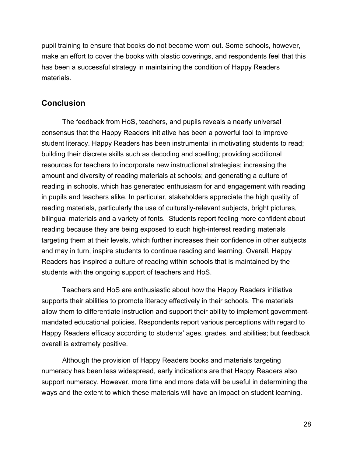pupil training to ensure that books do not become worn out. Some schools, however, make an effort to cover the books with plastic coverings, and respondents feel that this has been a successful strategy in maintaining the condition of Happy Readers materials.

## **Conclusion**

 The feedback from HoS, teachers, and pupils reveals a nearly universal consensus that the Happy Readers initiative has been a powerful tool to improve student literacy. Happy Readers has been instrumental in motivating students to read; building their discrete skills such as decoding and spelling; providing additional resources for teachers to incorporate new instructional strategies; increasing the amount and diversity of reading materials at schools; and generating a culture of reading in schools, which has generated enthusiasm for and engagement with reading in pupils and teachers alike. In particular, stakeholders appreciate the high quality of reading materials, particularly the use of culturally-relevant subjects, bright pictures, bilingual materials and a variety of fonts. Students report feeling more confident about reading because they are being exposed to such high-interest reading materials targeting them at their levels, which further increases their confidence in other subjects and may in turn, inspire students to continue reading and learning. Overall, Happy Readers has inspired a culture of reading within schools that is maintained by the students with the ongoing support of teachers and HoS.

 Teachers and HoS are enthusiastic about how the Happy Readers initiative supports their abilities to promote literacy effectively in their schools. The materials allow them to differentiate instruction and support their ability to implement governmentmandated educational policies. Respondents report various perceptions with regard to Happy Readers efficacy according to students' ages, grades, and abilities; but feedback overall is extremely positive.

 Although the provision of Happy Readers books and materials targeting numeracy has been less widespread, early indications are that Happy Readers also support numeracy. However, more time and more data will be useful in determining the ways and the extent to which these materials will have an impact on student learning.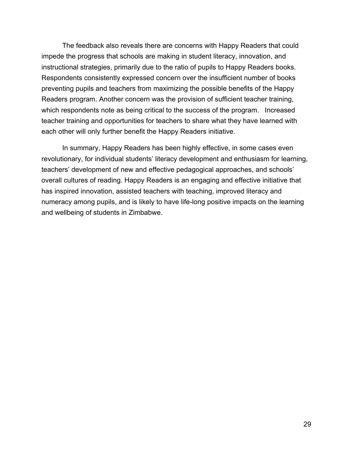The feedback also reveals there are concerns with Happy Readers that could impede the progress that schools are making in student literacy, innovation, and instructional strategies, primarily due to the ratio of pupils to Happy Readers books. Respondents consistently expressed concern over the insufficient number of books preventing pupils and teachers from maximizing the possible benefits of the Happy Readers program. Another concern was the provision of sufficient teacher training, which respondents note as being critical to the success of the program. Increased teacher training and opportunities for teachers to share what they have learned with each other will only further benefit the Happy Readers initiative.

In summary, Happy Readers has been highly effective, in some cases even revolutionary, for individual students' literacy development and enthusiasm for learning, teachers' development of new and effective pedagogical approaches, and schools' overall cultures of reading. Happy Readers is an engaging and effective initiative that has inspired innovation, assisted teachers with teaching, improved literacy and numeracy among pupils, and is likely to have life-long positive impacts on the learning and wellbeing of students in Zimbabwe.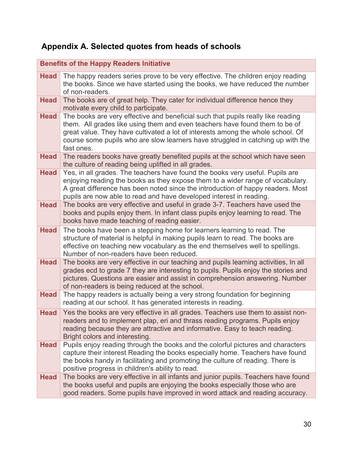# **Appendix A. Selected quotes from heads of schools**

|             | <b>Benefits of the Happy Readers Initiative</b>                                                                                                                                                                                                                                                                                                     |
|-------------|-----------------------------------------------------------------------------------------------------------------------------------------------------------------------------------------------------------------------------------------------------------------------------------------------------------------------------------------------------|
| <b>Head</b> | The happy readers series prove to be very effective. The children enjoy reading<br>the books. Since we have started using the books, we have reduced the number<br>of non-readers.                                                                                                                                                                  |
| <b>Head</b> | The books are of great help. They cater for individual difference hence they<br>motivate every child to participate.                                                                                                                                                                                                                                |
| <b>Head</b> | The books are very effective and beneficial such that pupils really like reading<br>them. All grades like using them and even teachers have found them to be of<br>great value. They have cultivated a lot of interests among the whole school. Of<br>course some pupils who are slow learners have struggled in catching up with the<br>fast ones. |
| <b>Head</b> | The readers books have greatly benefited pupils at the school which have seen<br>the culture of reading being uplifted in all grades.                                                                                                                                                                                                               |
| <b>Head</b> | Yes, in all grades. The teachers have found the books very useful. Pupils are<br>enjoying reading the books as they expose them to a wider range of vocabulary.<br>A great difference has been noted since the introduction of happy readers. Most<br>pupils are now able to read and have developed interest in reading.                           |
| <b>Head</b> | The books are very effective and useful in grade 3-7. Teachers have used the<br>books and pupils enjoy them. In infant class pupils enjoy learning to read. The<br>books have made teaching of reading easier.                                                                                                                                      |
| <b>Head</b> | The books have been a stepping home for learners learning to read. The<br>structure of material is helpful in making pupils learn to read. The books are<br>effective on teaching new vocabulary as the end themselves well to spellings.<br>Number of non-readers have been reduced.                                                               |
| <b>Head</b> | The books are very effective in our teaching and pupils learning activities, In all<br>grades ecd to grade 7 they are interesting to pupils. Pupils enjoy the stories and<br>pictures. Questions are easier and assist in comprehension answering. Number<br>of non-readers is being reduced at the school.                                         |
| <b>Head</b> | The happy readers is actually being a very strong foundation for beginning<br>reading at our school. It has generated interests in reading.                                                                                                                                                                                                         |
| <b>Head</b> | Yes the books are very effective in all grades. Teachers use them to assist non-<br>readers and to implement plap, eri and thrass reading programs. Pupils enjoy<br>reading because they are attractive and informative. Easy to teach reading.<br>Bright colors and interesting.                                                                   |
| <b>Head</b> | Pupils enjoy reading through the books and the colorful pictures and characters<br>capture their interest Reading the books especially home. Teachers have found<br>the books handy in facilitating and promoting the culture of reading. There is<br>positive progress in children's ability to read.                                              |
| <b>Head</b> | The books are very effective in all infants and junior pupils. Teachers have found<br>the books useful and pupils are enjoying the books especially those who are<br>good readers. Some pupils have improved in word attack and reading accuracy.                                                                                                   |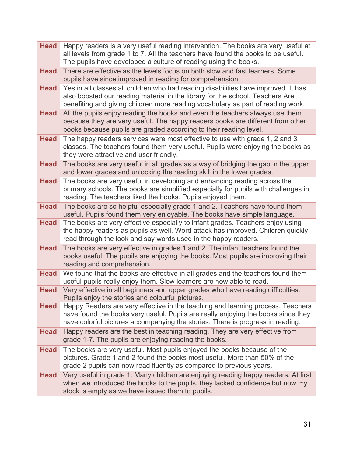| <b>Head</b> | Happy readers is a very useful reading intervention. The books are very useful at<br>all levels from grade 1 to 7. All the teachers have found the books to be useful.<br>The pupils have developed a culture of reading using the books.              |
|-------------|--------------------------------------------------------------------------------------------------------------------------------------------------------------------------------------------------------------------------------------------------------|
| <b>Head</b> | There are effective as the levels focus on both slow and fast learners. Some<br>pupils have since improved in reading for comprehension.                                                                                                               |
| <b>Head</b> | Yes in all classes all children who had reading disabilities have improved. It has<br>also boosted our reading material in the library for the school. Teachers Are<br>benefiting and giving children more reading vocabulary as part of reading work. |
| <b>Head</b> | All the pupils enjoy reading the books and even the teachers always use them<br>because they are very useful. The happy readers books are different from other<br>books because pupils are graded according to their reading level.                    |
| <b>Head</b> | The happy readers services were most effective to use with grade 1, 2 and 3<br>classes. The teachers found them very useful. Pupils were enjoying the books as<br>they were attractive and user friendly.                                              |
| <b>Head</b> | The books are very useful in all grades as a way of bridging the gap in the upper<br>and lower grades and unlocking the reading skill in the lower grades.                                                                                             |
| <b>Head</b> | The books are very useful in developing and enhancing reading across the<br>primary schools. The books are simplified especially for pupils with challenges in<br>reading. The teachers liked the books. Pupils enjoyed them.                          |
| <b>Head</b> | The books are so helpful especially grade 1 and 2. Teachers have found them<br>useful. Pupils found them very enjoyable. The books have simple language.                                                                                               |
| <b>Head</b> | The books are very effective especially to infant grades. Teachers enjoy using<br>the happy readers as pupils as well. Word attack has improved. Children quickly<br>read through the look and say words used in the happy readers.                    |
| <b>Head</b> | The books are very effective in grades 1 and 2. The infant teachers found the<br>books useful. The pupils are enjoying the books. Most pupils are improving their<br>reading and comprehension.                                                        |
| <b>Head</b> | We found that the books are effective in all grades and the teachers found them<br>useful pupils really enjoy them. Slow learners are now able to read.                                                                                                |
| <b>Head</b> | Very effective in all beginners and upper grades who have reading difficulties.<br>Pupils enjoy the stories and colourful pictures.                                                                                                                    |
| <b>Head</b> | Happy Readers are very effective in the teaching and learning process. Teachers<br>have found the books very useful. Pupils are really enjoying the books since they<br>have colorful pictures accompanying the stories. There is progress in reading. |
| <b>Head</b> | Happy readers are the best in teaching reading. They are very effective from<br>grade 1-7. The pupils are enjoying reading the books.                                                                                                                  |
| <b>Head</b> | The books are very useful. Most pupils enjoyed the books because of the<br>pictures. Grade 1 and 2 found the books most useful. More than 50% of the<br>grade 2 pupils can now read fluently as compared to previous years.                            |
| <b>Head</b> | Very useful in grade 1. Many children are enjoying reading happy readers. At first<br>when we introduced the books to the pupils, they lacked confidence but now my<br>stock is empty as we have issued them to pupils.                                |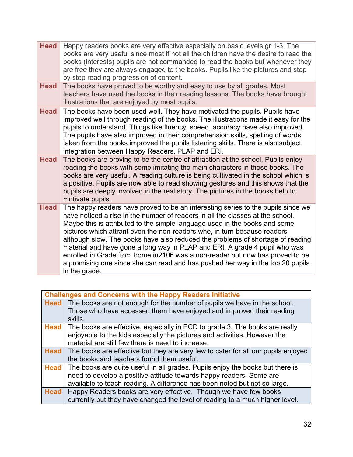| <b>Head</b> | Happy readers books are very effective especially on basic levels gr 1-3. The<br>books are very useful since most if not all the children have the desire to read the<br>books (interests) pupils are not commanded to read the books but whenever they<br>are free they are always engaged to the books. Pupils like the pictures and step<br>by step reading progression of content.                                                                                                                                                                                                                                                                         |
|-------------|----------------------------------------------------------------------------------------------------------------------------------------------------------------------------------------------------------------------------------------------------------------------------------------------------------------------------------------------------------------------------------------------------------------------------------------------------------------------------------------------------------------------------------------------------------------------------------------------------------------------------------------------------------------|
| <b>Head</b> | The books have proved to be worthy and easy to use by all grades. Most<br>teachers have used the books in their reading lessons. The books have brought<br>illustrations that are enjoyed by most pupils.                                                                                                                                                                                                                                                                                                                                                                                                                                                      |
| <b>Head</b> | The books have been used well. They have motivated the pupils. Pupils have<br>improved well through reading of the books. The illustrations made it easy for the<br>pupils to understand. Things like fluency, speed, accuracy have also improved.<br>The pupils have also improved in their comprehension skills, spelling of words<br>taken from the books improved the pupils listening skills. There is also subject<br>integration between Happy Readers, PLAP and ERI.                                                                                                                                                                                   |
| <b>Head</b> | The books are proving to be the centre of attraction at the school. Pupils enjoy<br>reading the books with some imitating the main characters in these books. The<br>books are very useful. A reading culture is being cultivated in the school which is<br>a positive. Pupils are now able to read showing gestures and this shows that the<br>pupils are deeply involved in the real story. The pictures in the books help to<br>motivate pupils.                                                                                                                                                                                                            |
| <b>Head</b> | The happy readers have proved to be an interesting series to the pupils since we<br>have noticed a rise in the number of readers in all the classes at the school.<br>Maybe this is attributed to the simple language used in the books and some<br>pictures which attrant even the non-readers who, in turn because readers<br>although slow. The books have also reduced the problems of shortage of reading<br>material and have gone a long way in PLAP and ERI. A grade 4 pupil who was<br>enrolled in Grade from home in2106 was a non-reader but now has proved to be<br>a promising one since she can read and has pushed her way in the top 20 pupils |
|             | in the grade.                                                                                                                                                                                                                                                                                                                                                                                                                                                                                                                                                                                                                                                  |

| <b>Challenges and Concerns with the Happy Readers Initiative</b> |                                                                                   |  |
|------------------------------------------------------------------|-----------------------------------------------------------------------------------|--|
| <b>Head</b>                                                      | The books are not enough for the number of pupils we have in the school.          |  |
|                                                                  | Those who have accessed them have enjoyed and improved their reading              |  |
|                                                                  | skills.                                                                           |  |
| <b>Head</b>                                                      | The books are effective, especially in ECD to grade 3. The books are really       |  |
|                                                                  | enjoyable to the kids especially the pictures and activities. However the         |  |
|                                                                  | material are still few there is need to increase.                                 |  |
| <b>Head</b>                                                      | The books are effective but they are very few to cater for all our pupils enjoyed |  |
|                                                                  | the books and teachers found them useful.                                         |  |
| <b>Head</b>                                                      | The books are quite useful in all grades. Pupils enjoy the books but there is     |  |
|                                                                  | need to develop a positive attitude towards happy readers. Some are               |  |
|                                                                  | available to teach reading. A difference has been noted but not so large.         |  |
| <b>Head</b>                                                      | Happy Readers books are very effective. Though we have few books                  |  |
|                                                                  | currently but they have changed the level of reading to a much higher level.      |  |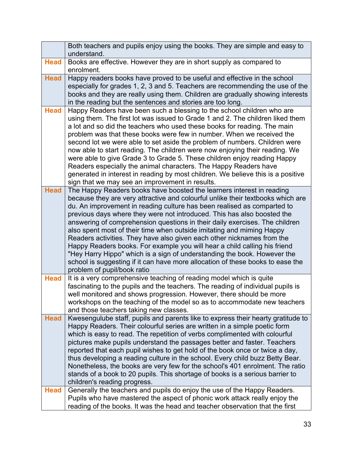|             | Both teachers and pupils enjoy using the books. They are simple and easy to<br>understand.                                                                                                                                                                                                                                                                                                                                                                                                                                                                                                                                                                                                                                                                                                                                 |
|-------------|----------------------------------------------------------------------------------------------------------------------------------------------------------------------------------------------------------------------------------------------------------------------------------------------------------------------------------------------------------------------------------------------------------------------------------------------------------------------------------------------------------------------------------------------------------------------------------------------------------------------------------------------------------------------------------------------------------------------------------------------------------------------------------------------------------------------------|
| <b>Head</b> | Books are effective. However they are in short supply as compared to<br>enrolment.                                                                                                                                                                                                                                                                                                                                                                                                                                                                                                                                                                                                                                                                                                                                         |
| <b>Head</b> | Happy readers books have proved to be useful and effective in the school<br>especially for grades 1, 2, 3 and 5. Teachers are recommending the use of the<br>books and they are really using them. Children are gradually showing interests<br>in the reading but the sentences and stories are too long.                                                                                                                                                                                                                                                                                                                                                                                                                                                                                                                  |
| <b>Head</b> | Happy Readers have been such a blessing to the school children who are<br>using them. The first lot was issued to Grade 1 and 2. The children liked them<br>a lot and so did the teachers who used these books for reading. The main<br>problem was that these books were few in number. When we received the<br>second lot we were able to set aside the problem of numbers. Children were<br>now able to start reading. The children were now enjoying their reading. We<br>were able to give Grade 3 to Grade 5. These children enjoy reading Happy<br>Readers especially the animal characters. The Happy Readers have<br>generated in interest in reading by most children. We believe this is a positive<br>sign that we may see an improvement in results.                                                          |
| <b>Head</b> | The Happy Readers books have boosted the learners interest in reading<br>because they are very attractive and colourful unlike their textbooks which are<br>du. An improvement in reading culture has been realised as comparted to<br>previous days where they were not introduced. This has also boosted the<br>answering of comprehension questions in their daily exercises. The children<br>also spent most of their time when outside imitating and miming Happy<br>Readers activities. They have also given each other nicknames from the<br>Happy Readers books. For example you will hear a child calling his friend<br>"Hey Harry Hippo" which is a sign of understanding the book. However the<br>school is suggesting if it can have more allocation of these books to ease the<br>problem of pupil/book ratio |
| <b>Head</b> | It is a very comprehensive teaching of reading model which is quite<br>fascinating to the pupils and the teachers. The reading of individual pupils is<br>well monitored and shows progression. However, there should be more<br>workshops on the teaching of the model so as to accommodate new teachers<br>and those teachers taking new classes.                                                                                                                                                                                                                                                                                                                                                                                                                                                                        |
| <b>Head</b> | Kwesengulube staff, pupils and parents like to express their hearty gratitude to<br>Happy Readers. Their colourful series are written in a simple poetic form<br>which is easy to read. The repetition of verbs complimented with colourful<br>pictures make pupils understand the passages better and faster. Teachers<br>reported that each pupil wishes to get hold of the book once or twice a day,<br>thus developing a reading culture in the school. Every child buzz Betty Bear.<br>Nonetheless, the books are very few for the school's 401 enrolment. The ratio<br>stands of a book to 20 pupils. This shortage of books is a serious barrier to<br>children's reading progress.                                                                                                                                 |
| <b>Head</b> | Generally the teachers and pupils do enjoy the use of the Happy Readers.<br>Pupils who have mastered the aspect of phonic work attack really enjoy the<br>reading of the books. It was the head and teacher observation that the first                                                                                                                                                                                                                                                                                                                                                                                                                                                                                                                                                                                     |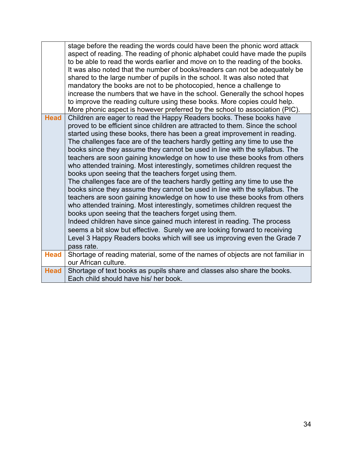|             | stage before the reading the words could have been the phonic word attack<br>aspect of reading. The reading of phonic alphabet could have made the pupils<br>to be able to read the words earlier and move on to the reading of the books.<br>It was also noted that the number of books/readers can not be adequately be<br>shared to the large number of pupils in the school. It was also noted that<br>mandatory the books are not to be photocopied, hence a challenge to<br>increase the numbers that we have in the school. Generally the school hopes<br>to improve the reading culture using these books. More copies could help.<br>More phonic aspect is however preferred by the school to association (PIC).                                                                                                                                                                                                                                                                                                                                                                                                                                                                                                                             |
|-------------|-------------------------------------------------------------------------------------------------------------------------------------------------------------------------------------------------------------------------------------------------------------------------------------------------------------------------------------------------------------------------------------------------------------------------------------------------------------------------------------------------------------------------------------------------------------------------------------------------------------------------------------------------------------------------------------------------------------------------------------------------------------------------------------------------------------------------------------------------------------------------------------------------------------------------------------------------------------------------------------------------------------------------------------------------------------------------------------------------------------------------------------------------------------------------------------------------------------------------------------------------------|
| <b>Head</b> | Children are eager to read the Happy Readers books. These books have<br>proved to be efficient since children are attracted to them. Since the school<br>started using these books, there has been a great improvement in reading.<br>The challenges face are of the teachers hardly getting any time to use the<br>books since they assume they cannot be used in line with the syllabus. The<br>teachers are soon gaining knowledge on how to use these books from others<br>who attended training. Most interestingly, sometimes children request the<br>books upon seeing that the teachers forget using them.<br>The challenges face are of the teachers hardly getting any time to use the<br>books since they assume they cannot be used in line with the syllabus. The<br>teachers are soon gaining knowledge on how to use these books from others<br>who attended training. Most interestingly, sometimes children request the<br>books upon seeing that the teachers forget using them.<br>Indeed children have since gained much interest in reading. The process<br>seems a bit slow but effective. Surely we are looking forward to receiving<br>Level 3 Happy Readers books which will see us improving even the Grade 7<br>pass rate. |
| <b>Head</b> | Shortage of reading material, some of the names of objects are not familiar in                                                                                                                                                                                                                                                                                                                                                                                                                                                                                                                                                                                                                                                                                                                                                                                                                                                                                                                                                                                                                                                                                                                                                                        |
|             | our African culture.                                                                                                                                                                                                                                                                                                                                                                                                                                                                                                                                                                                                                                                                                                                                                                                                                                                                                                                                                                                                                                                                                                                                                                                                                                  |
| <b>Head</b> | Shortage of text books as pupils share and classes also share the books.<br>Each child should have his/ her book.                                                                                                                                                                                                                                                                                                                                                                                                                                                                                                                                                                                                                                                                                                                                                                                                                                                                                                                                                                                                                                                                                                                                     |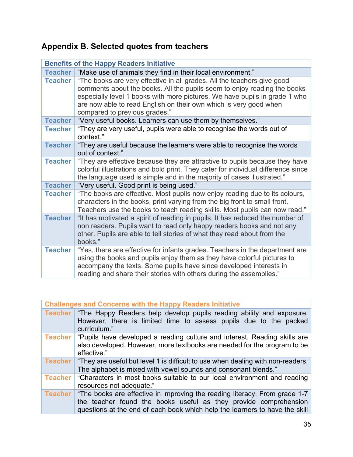# **Appendix B. Selected quotes from teachers**

| <b>Benefits of the Happy Readers Initiative</b> |                                                                                                                                                                                                                                                                                                                                         |  |
|-------------------------------------------------|-----------------------------------------------------------------------------------------------------------------------------------------------------------------------------------------------------------------------------------------------------------------------------------------------------------------------------------------|--|
|                                                 | Teacher   "Make use of animals they find in their local environment."                                                                                                                                                                                                                                                                   |  |
| <b>Teacher</b>                                  | "The books are very effective in all grades. All the teachers give good<br>comments about the books. All the pupils seem to enjoy reading the books<br>especially level 1 books with more pictures. We have pupils in grade 1 who<br>are now able to read English on their own which is very good when<br>compared to previous grades." |  |
| <b>Teacher</b>                                  | "Very useful books. Learners can use them by themselves."                                                                                                                                                                                                                                                                               |  |
| <b>Teacher</b>                                  | "They are very useful, pupils were able to recognise the words out of<br>context."                                                                                                                                                                                                                                                      |  |
| <b>Teacher</b>                                  | "They are useful because the learners were able to recognise the words<br>out of context."                                                                                                                                                                                                                                              |  |
| <b>Teacher</b>                                  | "They are effective because they are attractive to pupils because they have<br>colorful illustrations and bold print. They cater for individual difference since<br>the language used is simple and in the majority of cases illustrated."                                                                                              |  |
| <b>Teacher</b>                                  | "Very useful. Good print is being used."                                                                                                                                                                                                                                                                                                |  |
| <b>Teacher</b>                                  | "The books are effective. Most pupils now enjoy reading due to its colours,<br>characters in the books, print varying from the big front to small front.<br>Teachers use the books to teach reading skills. Most pupils can now read."                                                                                                  |  |
| <b>Teacher</b>                                  | "It has motivated a spirit of reading in pupils. It has reduced the number of<br>non readers. Pupils want to read only happy readers books and not any<br>other. Pupils are able to tell stories of what they read about from the<br>books."                                                                                            |  |
| <b>Teacher</b>                                  | "Yes, there are effective for infants grades. Teachers in the department are<br>using the books and pupils enjoy them as they have colorful pictures to<br>accompany the texts. Some pupils have since developed interests in<br>reading and share their stories with others during the assemblies."                                    |  |

| <b>Challenges and Concerns with the Happy Readers Initiative</b> |                                                                                                                                                                                                                               |  |
|------------------------------------------------------------------|-------------------------------------------------------------------------------------------------------------------------------------------------------------------------------------------------------------------------------|--|
| <b>Teacher</b>                                                   | "The Happy Readers help develop pupils reading ability and exposure.<br>However, there is limited time to assess pupils due to the packed<br>curriculum."                                                                     |  |
| Teacher                                                          | "Pupils have developed a reading culture and interest. Reading skills are<br>also developed. However, more textbooks are needed for the program to be<br>effective."                                                          |  |
| <b>Teacher</b>                                                   | "They are useful but level 1 is difficult to use when dealing with non-readers.<br>The alphabet is mixed with vowel sounds and consonant blends."                                                                             |  |
| <b>Teacher</b>                                                   | "Characters in most books suitable to our local environment and reading<br>resources not adequate."                                                                                                                           |  |
| <b>Teacher</b>                                                   | "The books are effective in improving the reading literacy. From grade 1-7<br>the teacher found the books useful as they provide comprehension<br>questions at the end of each book which help the learners to have the skill |  |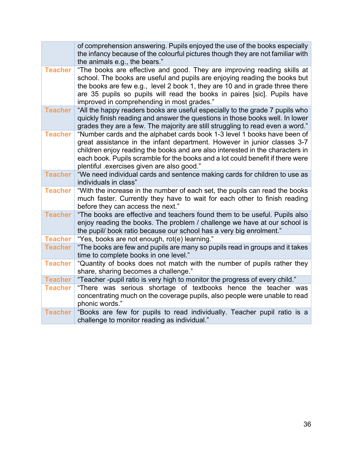|                | of comprehension answering. Pupils enjoyed the use of the books especially<br>the infancy because of the colourful pictures though they are not familiar with<br>the animals e.g., the bears."                                                                                                                                                                       |
|----------------|----------------------------------------------------------------------------------------------------------------------------------------------------------------------------------------------------------------------------------------------------------------------------------------------------------------------------------------------------------------------|
| <b>Teacher</b> | "The books are effective and good. They are improving reading skills at<br>school. The books are useful and pupils are enjoying reading the books but<br>the books are few e.g., level 2 book 1, they are 10 and in grade three there<br>are 35 pupils so pupils will read the books in paires [sic]. Pupils have<br>improved in comprehending in most grades."      |
| <b>Teacher</b> | "All the happy readers books are useful especially to the grade 7 pupils who<br>quickly finish reading and answer the questions in those books well. In lower<br>grades they are a few. The majority are still struggling to read even a word."                                                                                                                      |
| <b>Teacher</b> | "Number cards and the alphabet cards book 1-3 level 1 books have been of<br>great assistance in the infant department. However in junior classes 3-7<br>children enjoy reading the books and are also interested in the characters in<br>each book. Pupils scramble for the books and a lot could benefit if there were<br>plentiful exercises given are also good." |
| <b>Teacher</b> | "We need individual cards and sentence making cards for children to use as<br>individuals in class"                                                                                                                                                                                                                                                                  |
| <b>Teacher</b> | "With the increase in the number of each set, the pupils can read the books<br>much faster. Currently they have to wait for each other to finish reading<br>before they can access the next."                                                                                                                                                                        |
| <b>Teacher</b> | "The books are effective and teachers found them to be useful. Pupils also<br>enjoy reading the books. The problem / challenge we have at our school is<br>the pupil/ book ratio because our school has a very big enrolment."                                                                                                                                       |
| <b>Teacher</b> | "Yes, books are not enough, rot(e) learning."                                                                                                                                                                                                                                                                                                                        |
| <b>Teacher</b> | "The books are few and pupils are many so pupils read in groups and it takes<br>time to complete books in one level."                                                                                                                                                                                                                                                |
| <b>Teacher</b> | "Quantity of books does not match with the number of pupils rather they<br>share, sharing becomes a challenge."                                                                                                                                                                                                                                                      |
| <b>Teacher</b> | "Teacher-pupil ratio is very high to monitor the progress of every child."                                                                                                                                                                                                                                                                                           |
| <b>Teacher</b> | "There was serious shortage of textbooks hence the teacher was<br>concentrating much on the coverage pupils, also people were unable to read<br>phonic words."                                                                                                                                                                                                       |
| <b>Teacher</b> | "Books are few for pupils to read individually. Teacher pupil ratio is a<br>challenge to monitor reading as individual."                                                                                                                                                                                                                                             |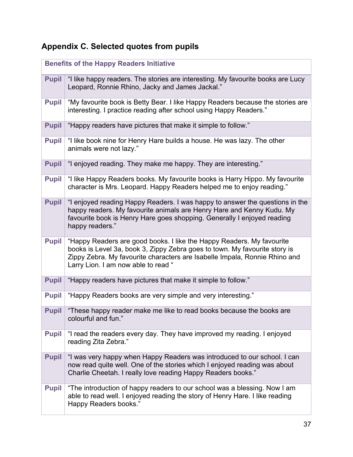# **Appendix C. Selected quotes from pupils**

| <b>Benefits of the Happy Readers Initiative</b> |                                                                                                                                                                                                                                                                          |  |  |  |
|-------------------------------------------------|--------------------------------------------------------------------------------------------------------------------------------------------------------------------------------------------------------------------------------------------------------------------------|--|--|--|
| <b>Pupil</b>                                    | "I like happy readers. The stories are interesting. My favourite books are Lucy<br>Leopard, Ronnie Rhino, Jacky and James Jackal."                                                                                                                                       |  |  |  |
| <b>Pupil</b>                                    | "My favourite book is Betty Bear. I like Happy Readers because the stories are<br>interesting. I practice reading after school using Happy Readers."                                                                                                                     |  |  |  |
| <b>Pupil</b>                                    | "Happy readers have pictures that make it simple to follow."                                                                                                                                                                                                             |  |  |  |
| <b>Pupil</b>                                    | "I like book nine for Henry Hare builds a house. He was lazy. The other<br>animals were not lazy."                                                                                                                                                                       |  |  |  |
| <b>Pupil</b>                                    | "I enjoyed reading. They make me happy. They are interesting."                                                                                                                                                                                                           |  |  |  |
| <b>Pupil</b>                                    | "I like Happy Readers books. My favourite books is Harry Hippo. My favourite<br>character is Mrs. Leopard. Happy Readers helped me to enjoy reading."                                                                                                                    |  |  |  |
| <b>Pupil</b>                                    | "I enjoyed reading Happy Readers. I was happy to answer the questions in the<br>happy readers. My favourite animals are Henry Hare and Kenny Kudu. My<br>favourite book is Henry Hare goes shopping. Generally I enjoyed reading<br>happy readers."                      |  |  |  |
| <b>Pupil</b>                                    | "Happy Readers are good books. I like the Happy Readers. My favourite<br>books is Level 3a, book 3, Zippy Zebra goes to town. My favourite story is<br>Zippy Zebra. My favourite characters are Isabelle Impala, Ronnie Rhino and<br>Larry Lion. I am now able to read " |  |  |  |
| <b>Pupil</b>                                    | "Happy readers have pictures that make it simple to follow."                                                                                                                                                                                                             |  |  |  |
| <b>Pupil</b>                                    | "Happy Readers books are very simple and very interesting."                                                                                                                                                                                                              |  |  |  |
| <b>Pupil</b>                                    | "These happy reader make me like to read books because the books are<br>colourful and fun."                                                                                                                                                                              |  |  |  |
| <b>Pupil</b>                                    | "I read the readers every day. They have improved my reading. I enjoyed<br>reading Zita Zebra."                                                                                                                                                                          |  |  |  |
| <b>Pupil</b>                                    | "I was very happy when Happy Readers was introduced to our school. I can<br>now read quite well. One of the stories which I enjoyed reading was about<br>Charlie Cheetah. I really love reading Happy Readers books."                                                    |  |  |  |
| <b>Pupil</b>                                    | "The introduction of happy readers to our school was a blessing. Now I am<br>able to read well. I enjoyed reading the story of Henry Hare. I like reading<br>Happy Readers books."                                                                                       |  |  |  |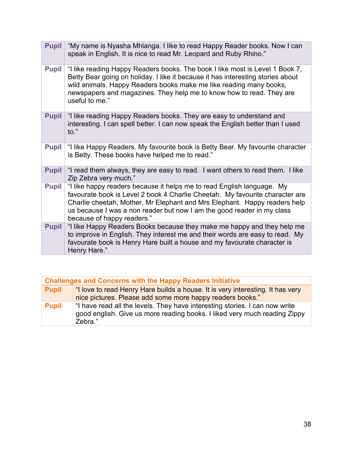| <b>Pupil</b> | "My name is Nyasha Mhlanga. I like to read Happy Reader books. Now I can<br>speak in English. It is nice to read Mr. Leopard and Ruby Rhino."                                                                                                                                                                                               |  |  |  |  |
|--------------|---------------------------------------------------------------------------------------------------------------------------------------------------------------------------------------------------------------------------------------------------------------------------------------------------------------------------------------------|--|--|--|--|
| <b>Pupil</b> | "I like reading Happy Readers books. The book I like most is Level 1 Book 7,<br>Betty Bear going on holiday. I like it because it has interesting stories about<br>wild animals. Happy Readers books make me like reading many books,<br>newspapers and magazines. They help me to know how to read. They are<br>useful to me."             |  |  |  |  |
| <b>Pupil</b> | "I like reading Happy Readers books. They are easy to understand and<br>interesting. I can spell better. I can now speak the English better than I used<br>$\mathsf{to}$ ."                                                                                                                                                                 |  |  |  |  |
| <b>Pupil</b> | "I like Happy Readers. My favourite book is Betty Bear. My favourite character<br>is Betty. These books have helped me to read."                                                                                                                                                                                                            |  |  |  |  |
| <b>Pupil</b> | "I read them always, they are easy to read. I want others to read them. I like<br>Zip Zebra very much."                                                                                                                                                                                                                                     |  |  |  |  |
| <b>Pupil</b> | "I like happy readers because it helps me to read English language. My<br>favourate book is Level 2 book 4 Charlie Cheetah. My favourite character are<br>Charlie cheetah, Mother, Mr Elephant and Mrs Elephant. Happy readers help<br>us because I was a non reader but now I am the good reader in my class<br>because of happy readers." |  |  |  |  |
| <b>Pupil</b> | "I like Happy Readers Books because they make me happy and they help me<br>to improve in English. They interest me and their words are easy to read. My<br>favourate book is Henry Hare built a house and my favourate character is<br>Henry Hare."                                                                                         |  |  |  |  |

| <b>Challenges and Concerns with the Happy Readers Initiative</b> |                                                                                                                                                                     |  |  |  |
|------------------------------------------------------------------|---------------------------------------------------------------------------------------------------------------------------------------------------------------------|--|--|--|
| <b>Pupil</b>                                                     | "I love to read Henry Hare builds a house. It is very interesting. It has very                                                                                      |  |  |  |
|                                                                  | nice pictures. Please add some more happy readers books."                                                                                                           |  |  |  |
| Pupil                                                            | "I have read all the levels. They have interesting stories. I can now write<br>good english. Give us more reading books. I liked very much reading Zippy<br>Zebra." |  |  |  |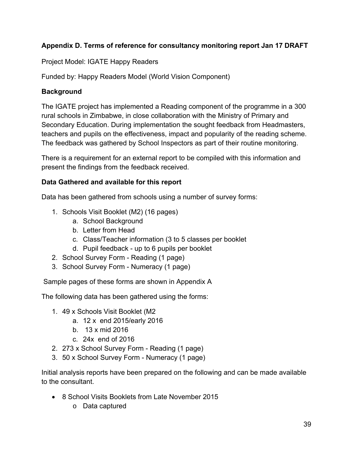## **Appendix D. Terms of reference for consultancy monitoring report Jan 17 DRAFT**

Project Model: IGATE Happy Readers

Funded by: Happy Readers Model (World Vision Component)

## **Background**

The IGATE project has implemented a Reading component of the programme in a 300 rural schools in Zimbabwe, in close collaboration with the Ministry of Primary and Secondary Education. During implementation the sought feedback from Headmasters, teachers and pupils on the effectiveness, impact and popularity of the reading scheme. The feedback was gathered by School Inspectors as part of their routine monitoring.

There is a requirement for an external report to be compiled with this information and present the findings from the feedback received.

## **Data Gathered and available for this report**

Data has been gathered from schools using a number of survey forms:

- 1. Schools Visit Booklet (M2) (16 pages)
	- a. School Background
	- b. Letter from Head
	- c. Class/Teacher information (3 to 5 classes per booklet
	- d. Pupil feedback up to 6 pupils per booklet
- 2. School Survey Form Reading (1 page)
- 3. School Survey Form Numeracy (1 page)

Sample pages of these forms are shown in Appendix A

The following data has been gathered using the forms:

- 1. 49 x Schools Visit Booklet (M2
	- a. 12 x end 2015/early 2016
	- b. 13 x mid 2016
	- c. 24x end of 2016
- 2. 273 x School Survey Form Reading (1 page)
- 3. 50 x School Survey Form Numeracy (1 page)

Initial analysis reports have been prepared on the following and can be made available to the consultant.

- 8 School Visits Booklets from Late November 2015
	- o Data captured